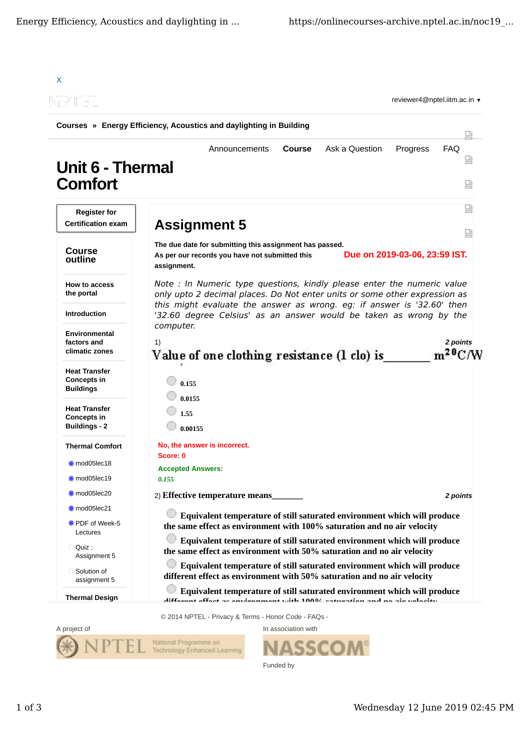

SSO

Funded by



Wednesday 12 June 2019 02:45 PM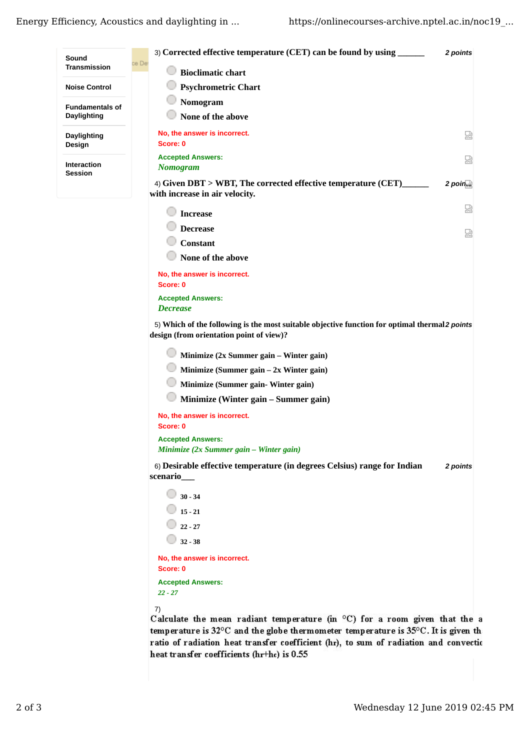| Sound                                | 3) Corrected effective temperature (CET) can be found by using                                  | 2 points   |
|--------------------------------------|-------------------------------------------------------------------------------------------------|------------|
| <b>Transmission</b>                  | ce De<br><b>Bioclimatic chart</b>                                                               |            |
| <b>Noise Control</b>                 | <b>Psychrometric Chart</b>                                                                      |            |
| <b>Fundamentals of</b>               | Nomogram                                                                                        |            |
| Daylighting                          | None of the above                                                                               |            |
| Daylighting                          | No, the answer is incorrect.                                                                    | 썮          |
| Design                               | Score: 0                                                                                        |            |
|                                      | <b>Accepted Answers:</b>                                                                        | 썮          |
| <b>Interaction</b><br><b>Session</b> | <b>Nomogram</b>                                                                                 |            |
|                                      | 4) Given DBT > WBT, The corrected effective temperature (CET)<br>with increase in air velocity. | $2$ points |
|                                      | <b>Increase</b>                                                                                 | 썼          |
|                                      | <b>Decrease</b>                                                                                 | 썮          |
|                                      | <b>Constant</b>                                                                                 |            |
|                                      | None of the above                                                                               |            |
|                                      | No, the answer is incorrect.                                                                    |            |
|                                      | Score: 0                                                                                        |            |
|                                      | <b>Accepted Answers:</b><br><b>Decrease</b>                                                     |            |
|                                      |                                                                                                 |            |

5) Which of the following is the most suitable objective function for optimal thermal2 points **design (from orientation point of view)?**

**Minimize (2x Summer gain – Winter gain)**

**Minimize (Summer gain – 2x Winter gain)**

**Minimize (Summer gain- Winter gain)**

**Minimize (Winter gain – Summer gain)**

**No, the answer is incorrect. Score: 0 Accepted Answers:** *Minimize (2x Summer gain – Winter gain)*

6) *2 points* **Desirable effective temperature (in degrees Celsius) range for Indian scenario\_\_\_**

| $30 - 34$                    |
|------------------------------|
| $15 - 21$                    |
| $22 - 27$                    |
| $32 - 38$                    |
| No, the answer is incorrect. |
| Score: 0                     |
| <b>Accepted Answers:</b>     |
| $22 - 27$                    |
|                              |

7)

Calculate the mean radiant temperature (in °C) for a room given that the a temperature is 32°C and the globe thermometer temperature is 35°C. It is given the ratio of radiation heat transfer coefficient (hr), to sum of radiation and convectio heat transfer coefficients (hr+hc) is 0.55